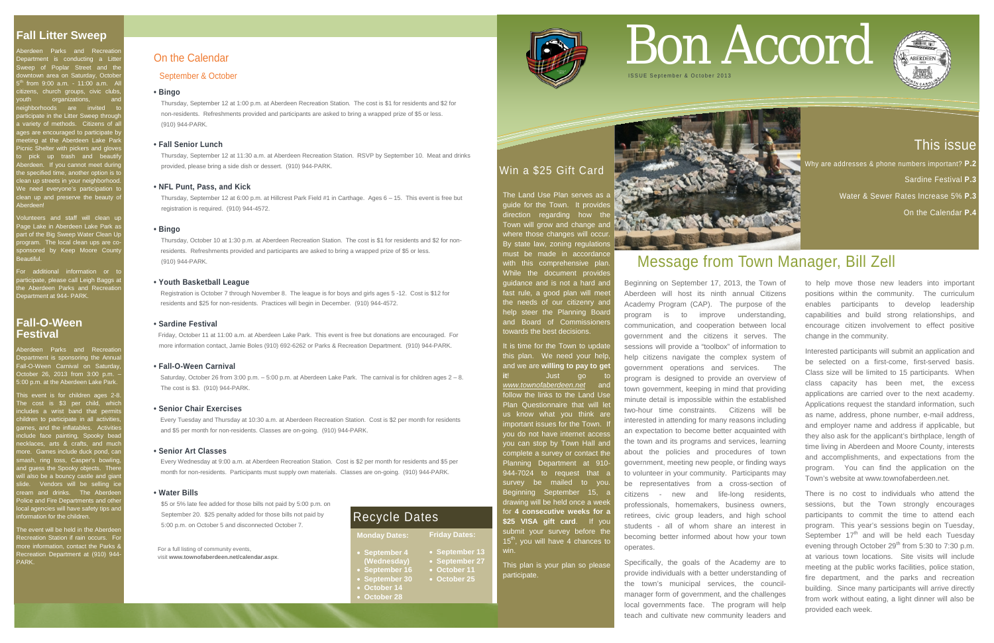# This issue

Why are addresses & phone numbers important? **P.2** 

Sardine Festival **P.3**

Water & Sewer Rates Increase 5% **P.3**

On the Calendar **P.4**

berdeen Parks and Recreation Department is conducting a Litter Sweep of Poplar Street and the ntown area on Saturday, Octobe  $<sup>th</sup>$  from 9:00 a.m. - 11:00 a.m. A</sup> tizens, church groups, civic clubs organizations, eighborhoods are invited t irticipate in the Litter Sweep through a variety of methods. Citizens of all ages are encouraged to participate by meeting at the Aberdeen Lake Park icnic Shelter with pickers and glove pick up trash and beauti berdeen. If you cannot meet during the specified time, another option is to ean up streets in your neighborhoo Ve need everyone's participation t ean up and preserve the beauty of Aberdeen!

olunteers and staff will clean up Page Lake in Aberdeen Lake Park as part of the Big Sweep Water Clean Up are of the Lig Streep trater Steam Sp<br>rogram. The local clean ups are coponsored by Keep Moore Count Beautiful.

For additional information or t articipate, please call Leigh Baggs a the Aberdeen Parks and Recreation Department at 944- PARK.

This event is for children ages 2-8.  $\hbox{The cost}$  is  $\$3$  per child, which includes a wrist band that permits children to participate in all activities, games, and the inflatables. Activities nclude face painting, Spooky bea ecklaces, arts & crafts, and much nore. Games include duck pond, can mash, ring toss, Casper's bowling nd guess the Spooky objects. The  $\alpha$ ill also be a bouncy castle and giar slide. Vendors will be selling ice cream and drinks. The Aberdeen Police and Fire Departments and other <sub>.</sub><br>In a agencies will have safety tips and nformation for the children.

The event will be held in the Aberdee Recreation Station if rain occurs. For more information, contact the Parks & Recreation Department at (910) 944 PARK.

# **Fall-O-Ween Festival**

Aberdeen Parks and Recreation Department is sponsoring the Annua Fall-O-Ween Carnival on Saturda October 26, 2013 from 3:00 p.m. 5:00 p.m. at the Aberdeen Lake Park

The Land Use Plan serves as a guide for the Town. It provides direction regarding how the Town will grow and change and **V** where those changes will occur. By state law, zoning regulations must be made in accordance with this comprehensive plan. While the document provides guidance and is not a hard and fast rule, a good plan will meet the needs of our citizenry and help steer the Planning Board and Board of Commissioners towards the best decisions.

# Win a \$25 Gift Card

It is time for the Town to update this plan. We need your help and we are **willing to pay to get it**! Just go www.townofaberdeen.net follow the links to the Land Use Plan Questionnaire that will let us know what you think are important issues for the Town. I you do not have internet access you can stop by Town Hall and complete a survey or contact the Planning Department at 910- 944-7024 to request that a survey be mailed to you Beginning September 15, a drawing will be held once a week for **4 consecutive weeks for a \$25 VISA gift card**. If you submit your survey before the  $15<sup>th</sup>$ , you will have 4 chances to win.

This plan is your plan so please participate.



For a full listing of community events, visit **www.townofaberdeen.net/calendar.aspx**.

On the Calendar

# September & October

# **• Bingo**

Thursday, September 12 at 1:00 p.m. at Aberdeen Recreation Station. The cost is \$1 for residents and \$2 for non-residents. Refreshments provided and participants are asked to bring a wrapped prize of \$5 or less. (910) 944-PARK.

## **• Fall Senior Lunch**

Thursday, September 12 at 11:30 a.m. at Aberdeen Recreation Station. RSVP by September 10. Meat and drinks provided, please bring a side dish or dessert. (910) 944-PARK.

# **• NFL Punt, Pass, and Kick**

Thursday, September 12 at 6:00 p.m. at Hillcrest Park Field #1 in Carthage. Ages 6 – 15. This event is free but registration is required. (910) 944-4572.

#### **• Bingo**

Thursday, October 10 at 1:30 p.m. at Aberdeen Recreation Station. The cost is \$1 for residents and \$2 for non residents. Refreshments provided and participants are asked to bring a wrapped prize of \$5 or less. (910) 944-PARK.

#### **• Youth Basketball League**

 Registration is October 7 through November 8. The league is for boys and girls ages 5 -12. Cost is \$12 for residents and \$25 for non-residents. Practices will begin in December. (910) 944-4572.

#### **• Sardine Festival**

Friday, October 11 at 11:00 a.m. at Aberdeen Lake Park. This event is free but donations are encouraged. For more information contact, Jamie Boles (910) 692-6262 or Parks & Recreation Department. (910) 944-PARK.

## **• Fall-O-Ween Carnival**

Saturday, October 26 from 3:00 p.m. – 5:00 p.m. at Aberdeen Lake Park. The carnival is for children ages 2 – 8. The cost is \$3. (910) 944-PARK.

#### **• Senior Chair Exercises**

Every Tuesday and Thursday at 10:30 a.m. at Aberdeen Recreation Station. Cost is \$2 per month for residents and \$5 per month for non-residents. Classes are on-going. (910) 944-PARK.

#### **• Senior Art Classes**

 Every Wednesday at 9:00 a.m. at Aberdeen Recreation Station. Cost is \$2 per month for residents and \$5 per month for non-residents. Participants must supply own materials. Classes are on-going. (910) 944-PARK.

#### **• Water Bills**

\$5 or 5% late fee added for those bills not paid by 5:00 p.m. on September 20. \$25 penalty added for those bills not paid by 5:00 p.m. on October 5 and disconnected October 7.

# Bon Accord



# Message from Town Manager, Bill Zell

Beginning on September 17, 2013, the Town of Aberdeen will host its ninth annual Citizens Academy Program (CAP). The purpose of the program is to improve understanding, communication, and cooperation between local government and the citizens it serves. The sessions will provide a "toolbox" of information to help citizens navigate the complex system of government operations and services. The program is designed to provide an overview of town government, keeping in mind that providing minute detail is impossible within the established two-hour time constraints. Citizens will be interested in attending for many reasons including an expectation to become better acquainted with the town and its programs and services, learning about the policies and procedures of town government, meeting new people, or finding ways to volunteer in your community. Participants may be representatives from a cross-section of citizens - new and life-long residents, professionals, homemakers, business owners, retirees, civic group leaders, and high school students - all of whom share an interest in becoming better informed about how your town operates.

Specifically, the goals of the Academy are to provide individuals with a better understanding of the town's municipal services, the councilmanager form of government, and the challenges local governments face. The program will help teach and cultivate new community leaders and

to help move those new leaders into important positions within the community. The curriculum enables participants to develop leadership capabilities and build strong relationships, and encourage citizen involvement to effect positive change in the community.

Interested participants will submit an application and be selected on a first-come, first-served basis. Class size will be limited to 15 participants. When class capacity has been met, the excess applications are carried over to the next academy. Applications request the standard information, such as name, address, phone number, e-mail address, and employer name and address if applicable, but they also ask for the applicant's birthplace, length of time living in Aberdeen and Moore County, interests and accomplishments, and expectations from the program. You can find the application on the Town's website at www.townofaberdeen.net.

There is no cost to individuals who attend the sessions, but the Town strongly encourages participants to commit the time to attend each program. This year's sessions begin on Tuesday, September  $17<sup>th</sup>$  and will be held each Tuesday evening through October  $29<sup>th</sup>$  from 5:30 to 7:30 p.m. at various town locations. Site visits will include meeting at the public works facilities, police station, fire department, and the parks and recreation building. Since many participants will arrive directly from work without eating, a light dinner will also be provided each week.



- **September 16** • **September 30** • **October 25**
- **October 14**
- **October 28**



**Monday Dates:** • **September 4 (Wednesday) Friday Dates:** • **September 13** • **September 27** • **October 11**

# Recycle Dates